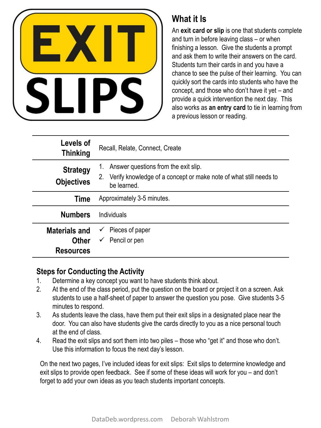

## **What it Is**

An **exit card or slip** is one that students complete and turn in before leaving class – or when finishing a lesson. Give the students a prompt and ask them to write their answers on the card. Students turn their cards in and you have a chance to see the pulse of their learning. You can quickly sort the cards into students who have the concept, and those who don't have it yet – and provide a quick intervention the next day. This also works as **an entry card** to tie in learning from a previous lesson or reading.

| Levels of<br><b>Thinking</b>                             | Recall, Relate, Connect, Create                                                                                                |  |
|----------------------------------------------------------|--------------------------------------------------------------------------------------------------------------------------------|--|
| <b>Strategy</b><br><b>Objectives</b>                     | Answer questions from the exit slip.<br>Verify knowledge of a concept or make note of what still needs to<br>2.<br>be learned. |  |
| Time                                                     | Approximately 3-5 minutes.                                                                                                     |  |
| <b>Numbers</b>                                           | Individuals                                                                                                                    |  |
| <b>Materials and</b><br><b>Other</b><br><b>Resources</b> | Pieces of paper<br>Pencil or pen<br>$\checkmark$                                                                               |  |

## **Steps for Conducting the Activity**

- 1. Determine a key concept you want to have students think about.
- 2. At the end of the class period, put the question on the board or project it on a screen. Ask students to use a half-sheet of paper to answer the question you pose. Give students 3-5 minutes to respond.
- 3. As students leave the class, have them put their exit slips in a designated place near the door. You can also have students give the cards directly to you as a nice personal touch at the end of class.
- 4. Read the exit slips and sort them into two piles those who "get it" and those who don't. Use this information to focus the next day's lesson.

On the next two pages, I've included ideas for exit slips: Exit slips to determine knowledge and exit slips to provide open feedback. See if some of these ideas will work for you – and don't forget to add your own ideas as you teach students important concepts.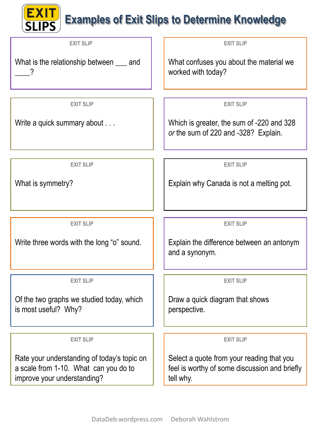## **EXIT** Examples of Exit Slips to Determine Knowledge

| <b>EXIT SLIP</b>                                                                                                    | <b>EXIT SLIP</b>                                                                                        |
|---------------------------------------------------------------------------------------------------------------------|---------------------------------------------------------------------------------------------------------|
| What is the relationship between ____ and<br>7                                                                      | What confuses you about the material we<br>worked with today?                                           |
|                                                                                                                     |                                                                                                         |
| <b>EXIT SLIP</b>                                                                                                    | <b>EXIT SLIP</b>                                                                                        |
| Write a quick summary about                                                                                         | Which is greater, the sum of -220 and 328<br>or the sum of 220 and -328? Explain.                       |
|                                                                                                                     |                                                                                                         |
| <b>EXIT SLIP</b>                                                                                                    | <b>EXIT SLIP</b>                                                                                        |
| What is symmetry?                                                                                                   | Explain why Canada is not a melting pot.                                                                |
|                                                                                                                     |                                                                                                         |
| <b>EXIT SLIP</b>                                                                                                    | <b>EXIT SLIP</b>                                                                                        |
| Write three words with the long "o" sound.                                                                          | Explain the difference between an antonym<br>and a synonym.                                             |
| <b>EXIT SLIP</b>                                                                                                    | <b>EXIT SLIP</b>                                                                                        |
| Of the two graphs we studied today, which<br>is most useful? Why?                                                   | Draw a quick diagram that shows<br>perspective.                                                         |
| <b>EXIT SLIP</b>                                                                                                    | <b>EXIT SLIP</b>                                                                                        |
|                                                                                                                     |                                                                                                         |
| Rate your understanding of today's topic on<br>a scale from 1-10. What can you do to<br>improve your understanding? | Select a quote from your reading that you<br>feel is worthy of some discussion and briefly<br>tell why. |